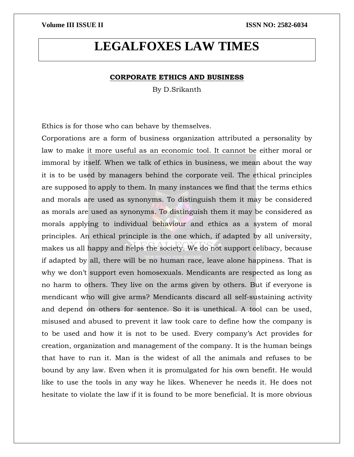# **LEGALFOXES LAW TIMES**

#### **CORPORATE ETHICS AND BUSINESS**

By D.Srikanth

Ethics is for those who can behave by themselves.

Corporations are a form of business organization attributed a personality by law to make it more useful as an economic tool. It cannot be either moral or immoral by itself. When we talk of ethics in business, we mean about the way it is to be used by managers behind the corporate veil. The ethical principles are supposed to apply to them. In many instances we find that the terms ethics and morals are used as synonyms. To distinguish them it may be considered as morals are used as synonyms. To distinguish them it may be considered as morals applying to individual behaviour and ethics as a system of moral principles. An ethical principle is the one which, if adapted by all university, makes us all happy and helps the society. We do not support celibacy, because if adapted by all, there will be no human race, leave alone happiness. That is why we don't support even homosexuals. Mendicants are respected as long as no harm to others. They live on the arms given by others. But if everyone is mendicant who will give arms? Mendicants discard all self-sustaining activity and depend on others for sentence. So it is unethical. A tool can be used, misused and abused to prevent it law took care to define how the company is to be used and how it is not to be used. Every company's Act provides for creation, organization and management of the company. It is the human beings that have to run it. Man is the widest of all the animals and refuses to be bound by any law. Even when it is promulgated for his own benefit. He would like to use the tools in any way he likes. Whenever he needs it. He does not hesitate to violate the law if it is found to be more beneficial. It is more obvious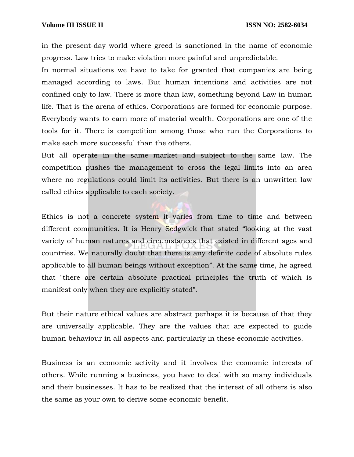in the present-day world where greed is sanctioned in the name of economic progress. Law tries to make violation more painful and unpredictable.

In normal situations we have to take for granted that companies are being managed according to laws. But human intentions and activities are not confined only to law. There is more than law, something beyond Law in human life. That is the arena of ethics. Corporations are formed for economic purpose. Everybody wants to earn more of material wealth. Corporations are one of the tools for it. There is competition among those who run the Corporations to make each more successful than the others.

But all operate in the same market and subject to the same law. The competition pushes the management to cross the legal limits into an area where no regulations could limit its activities. But there is an unwritten law called ethics applicable to each society.

Ethics is not a concrete system it varies from time to time and between different communities. It is Henry Sedgwick that stated "looking at the vast variety of human natures and circumstances that existed in different ages and countries. We naturally doubt that there is any definite code of absolute rules applicable to all human beings without exception". At the same time, he agreed that "there are certain absolute practical principles the truth of which is manifest only when they are explicitly stated".

But their nature ethical values are abstract perhaps it is because of that they are universally applicable. They are the values that are expected to guide human behaviour in all aspects and particularly in these economic activities.

Business is an economic activity and it involves the economic interests of others. While running a business, you have to deal with so many individuals and their businesses. It has to be realized that the interest of all others is also the same as your own to derive some economic benefit.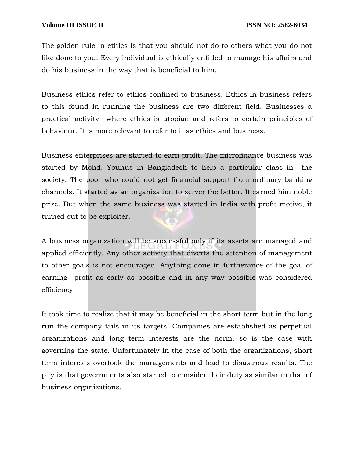The golden rule in ethics is that you should not do to others what you do not like done to you. Every individual is ethically entitled to manage his affairs and do his business in the way that is beneficial to him.

Business ethics refer to ethics confined to business. Ethics in business refers to this found in running the business are two different field. Businesses a practical activity where ethics is utopian and refers to certain principles of behaviour. It is more relevant to refer to it as ethics and business.

Business enterprises are started to earn profit. The microfinance business was started by Mohd. Younus in Bangladesh to help a particular class in the society. The poor who could not get financial support from ordinary banking channels. It started as an organization to server the better. It earned him noble prize. But when the same business was started in India with profit motive, it turned out to be exploiter.

A business organization will be successful only if its assets are managed and applied efficiently. Any other activity that diverts the attention of management to other goals is not encouraged. Anything done in furtherance of the goal of earning profit as early as possible and in any way possible was considered efficiency.

It took time to realize that it may be beneficial in the short term but in the long run the company fails in its targets. Companies are established as perpetual organizations and long term interests are the norm. so is the case with governing the state. Unfortunately in the case of both the organizations, short term interests overtook the managements and lead to disastrous results. The pity is that governments also started to consider their duty as similar to that of business organizations.